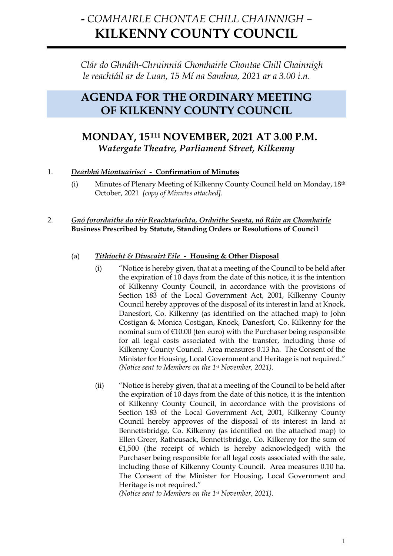# **-** *COMHAIRLE CHONTAE CHILL CHAINNIGH –* **KILKENNY COUNTY COUNCIL**

*Clár do Ghnáth-Chruinniú Chomhairle Chontae Chill Chainnigh le reachtáil ar de Luan, 15 Mí na Samhna, 2021 ar a 3.00 i.n.*

# **AGENDA FOR THE ORDINARY MEETING OF KILKENNY COUNTY COUNCIL**

# **MONDAY, 15TH NOVEMBER, 2021 AT 3.00 P.M.** *Watergate Theatre, Parliament Street, Kilkenny*

# 1. *Dearbhú Miontuairiscí -* **Confirmation of Minutes**

(i) Minutes of Plenary Meeting of Kilkenny County Council held on Monday, 18th October, 2021 *[copy of Minutes attached].*

# 2. *Gnó forordaithe do réir Reachtaíochta, Orduithe Seasta, nó Rúin an Chomhairle* **Business Prescribed by Statute, Standing Orders or Resolutions of Council**

# (a) *Tithíocht & Díuscairt Eile -* **Housing & Other Disposal**

- (i) "Notice is hereby given, that at a meeting of the Council to be held after the expiration of 10 days from the date of this notice, it is the intention of Kilkenny County Council, in accordance with the provisions of Section 183 of the Local Government Act, 2001, Kilkenny County Council hereby approves of the disposal of its interest in land at Knock, Danesfort, Co. Kilkenny (as identified on the attached map) to John Costigan & Monica Costigan, Knock, Danesfort, Co. Kilkenny for the nominal sum of €10.00 (ten euro) with the Purchaser being responsible for all legal costs associated with the transfer, including those of Kilkenny County Council. Area measures 0.13 ha. The Consent of the Minister for Housing, Local Government and Heritage is not required." *(Notice sent to Members on the 1st November, 2021).*
- (ii) "Notice is hereby given, that at a meeting of the Council to be held after the expiration of 10 days from the date of this notice, it is the intention of Kilkenny County Council, in accordance with the provisions of Section 183 of the Local Government Act, 2001, Kilkenny County Council hereby approves of the disposal of its interest in land at Bennettsbridge, Co. Kilkenny (as identified on the attached map) to Ellen Greer, Rathcusack, Bennettsbridge, Co. Kilkenny for the sum of €1,500 (the receipt of which is hereby acknowledged) with the Purchaser being responsible for all legal costs associated with the sale, including those of Kilkenny County Council. Area measures 0.10 ha. The Consent of the Minister for Housing, Local Government and Heritage is not required."

*(Notice sent to Members on the 1st November, 2021).*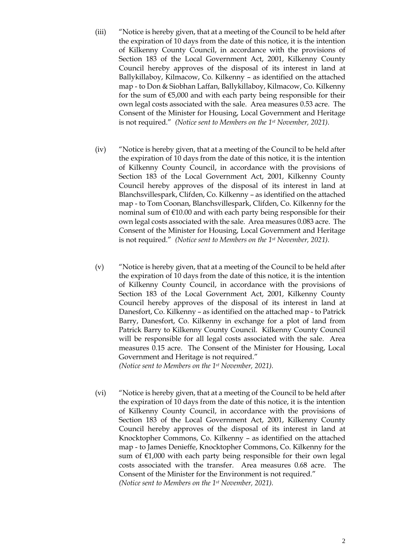- (iii) "Notice is hereby given, that at a meeting of the Council to be held after the expiration of 10 days from the date of this notice, it is the intention of Kilkenny County Council, in accordance with the provisions of Section 183 of the Local Government Act, 2001, Kilkenny County Council hereby approves of the disposal of its interest in land at Ballykillaboy, Kilmacow, Co. Kilkenny – as identified on the attached map - to Don & Siobhan Laffan, Ballykillaboy, Kilmacow, Co. Kilkenny for the sum of  $E$ 5,000 and with each party being responsible for their own legal costs associated with the sale. Area measures 0.53 acre. The Consent of the Minister for Housing, Local Government and Heritage is not required." *(Notice sent to Members on the 1st November, 2021).*
- (iv) "Notice is hereby given, that at a meeting of the Council to be held after the expiration of 10 days from the date of this notice, it is the intention of Kilkenny County Council, in accordance with the provisions of Section 183 of the Local Government Act, 2001, Kilkenny County Council hereby approves of the disposal of its interest in land at Blanchsvillespark, Clifden, Co. Kilkenny – as identified on the attached map - to Tom Coonan, Blanchsvillespark, Clifden, Co. Kilkenny for the nominal sum of  $E10.00$  and with each party being responsible for their own legal costs associated with the sale. Area measures 0.083 acre. The Consent of the Minister for Housing, Local Government and Heritage is not required." *(Notice sent to Members on the 1st November, 2021).*
- (v) "Notice is hereby given, that at a meeting of the Council to be held after the expiration of 10 days from the date of this notice, it is the intention of Kilkenny County Council, in accordance with the provisions of Section 183 of the Local Government Act, 2001, Kilkenny County Council hereby approves of the disposal of its interest in land at Danesfort, Co. Kilkenny – as identified on the attached map - to Patrick Barry, Danesfort, Co. Kilkenny in exchange for a plot of land from Patrick Barry to Kilkenny County Council. Kilkenny County Council will be responsible for all legal costs associated with the sale. Area measures 0.15 acre. The Consent of the Minister for Housing, Local Government and Heritage is not required." *(Notice sent to Members on the 1st November, 2021).*
- (vi) "Notice is hereby given, that at a meeting of the Council to be held after the expiration of 10 days from the date of this notice, it is the intention of Kilkenny County Council, in accordance with the provisions of Section 183 of the Local Government Act, 2001, Kilkenny County Council hereby approves of the disposal of its interest in land at Knocktopher Commons, Co. Kilkenny – as identified on the attached map - to James Denieffe, Knocktopher Commons, Co. Kilkenny for the sum of €1,000 with each party being responsible for their own legal costs associated with the transfer. Area measures 0.68 acre. The Consent of the Minister for the Environment is not required." *(Notice sent to Members on the 1st November, 2021).*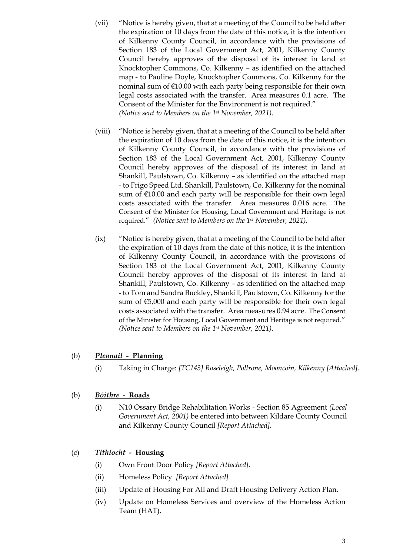- (vii) "Notice is hereby given, that at a meeting of the Council to be held after the expiration of 10 days from the date of this notice, it is the intention of Kilkenny County Council, in accordance with the provisions of Section 183 of the Local Government Act, 2001, Kilkenny County Council hereby approves of the disposal of its interest in land at Knocktopher Commons, Co. Kilkenny – as identified on the attached map - to Pauline Doyle, Knocktopher Commons, Co. Kilkenny for the nominal sum of €10.00 with each party being responsible for their own legal costs associated with the transfer. Area measures 0.1 acre. The Consent of the Minister for the Environment is not required." *(Notice sent to Members on the 1st November, 2021).*
- (viii) "Notice is hereby given, that at a meeting of the Council to be held after the expiration of 10 days from the date of this notice, it is the intention of Kilkenny County Council, in accordance with the provisions of Section 183 of the Local Government Act, 2001, Kilkenny County Council hereby approves of the disposal of its interest in land at Shankill, Paulstown, Co. Kilkenny – as identified on the attached map - to Frigo Speed Ltd, Shankill, Paulstown, Co. Kilkenny for the nominal sum of  $£10.00$  and each party will be responsible for their own legal costs associated with the transfer. Area measures 0.016 acre. The Consent of the Minister for Housing, Local Government and Heritage is not required." *(Notice sent to Members on the 1st November, 2021).*
- (ix) "Notice is hereby given, that at a meeting of the Council to be held after the expiration of 10 days from the date of this notice, it is the intention of Kilkenny County Council, in accordance with the provisions of Section 183 of the Local Government Act, 2001, Kilkenny County Council hereby approves of the disposal of its interest in land at Shankill, Paulstown, Co. Kilkenny – as identified on the attached map - to Tom and Sandra Buckley, Shankill, Paulstown, Co. Kilkenny for the sum of €5,000 and each party will be responsible for their own legal costs associated with the transfer. Area measures 0.94 acre. The Consent of the Minister for Housing, Local Government and Heritage is not required." *(Notice sent to Members on the 1st November, 2021).*

# (b) *Pleanail -* **Planning**

(i) Taking in Charge: *[TC143] Roseleigh, Pollrone, Mooncoin, Kilkenny [Attached].*

#### (b) *Bóithre**-* **Roads**

(i) N10 Ossary Bridge Rehabilitation Works - Section 85 Agreement *(Local Government Act, 2001)* be entered into between Kildare County Council and Kilkenny County Council *[Report Attached].*

#### (c) *Tithíocht -* **Housing**

- (i) Own Front Door Policy *[Report Attached].*
- (ii) Homeless Policy *[Report Attached]*
- (iii) Update of Housing For All and Draft Housing Delivery Action Plan*.*
- (iv) Update on Homeless Services and overview of the Homeless Action Team (HAT).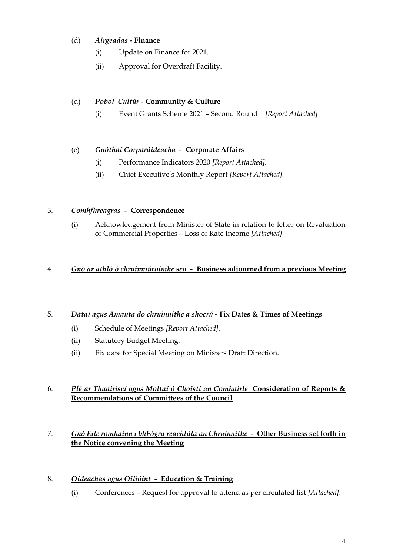# (d) *Airgeadas -* **Finance**

- (i) Update on Finance for 2021*.*
- (ii) Approval for Overdraft Facility.

# (d) *Pobol Cultúr -* **Community & Culture**

(i) Event Grants Scheme 2021 – Second Round *[Report Attached]*

# (e) *Gnóthaí Corparáideacha -* **Corporate Affairs**

- (i) Performance Indicators 2020 *[Report Attached].*
- (ii) Chief Executive's Monthly Report *[Report Attached].*

# 3. *Comhfhreagras -* **Correspondence**

(i) Acknowledgement from Minister of State in relation to letter on Revaluation of Commercial Properties – Loss of Rate Income *[Attached].*

#### 4. *Gnó ar athló ó chruinniúroimhe seo -* **Business adjourned from a previous Meeting**

# 5. *Dátaí agus Amanta do chruinnithe a shocrú -* **Fix Dates & Times of Meetings**

- (i) Schedule of Meetings *[Report Attached].*
- (ii) Statutory Budget Meeting.
- (ii) Fix date for Special Meeting on Ministers Draft Direction.

#### 6. *Plé ar Thuairiscí agus Moltaí ó Choistí an Comhairle* **Consideration of Reports & Recommendations of Committees of the Council**

# 7. *Gnó Eile romhainn i bhFógra reachtála an Chruinnithe -* **Other Business set forth in the Notice convening the Meeting**

# 8. *Oideachas agus Oiliúint -* **Education & Training**

(i) Conferences – Request for approval to attend as per circulated list *[Attached].*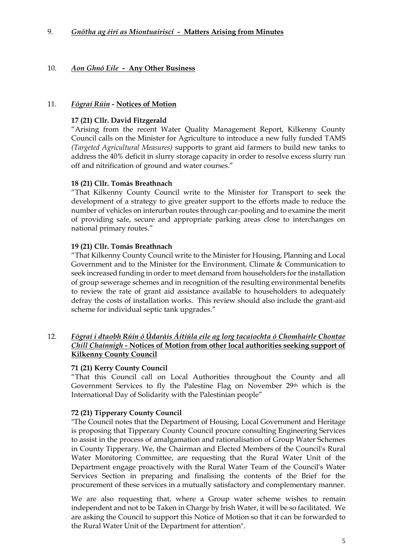# 10. *Aon Ghnó Eile -* **Any Other Business**

#### 11. *Fógraí Rúin -* **Notices of Motion**

#### **17 (21) Cllr. David Fitzgerald**

"Arising from the recent Water Quality Management Report, Kilkenny County Council calls on the Minister for Agriculture to introduce a new fully funded TAMS *(Targeted Agricultural Measures)* supports to grant aid farmers to build new tanks to address the 40% deficit in slurry storage capacity in order to resolve excess slurry run off and nitrification of ground and water courses."

#### **18 (21) Cllr. Tomás Breathnach**

"That Kilkenny County Council write to the Minister for Transport to seek the development of a strategy to give greater support to the efforts made to reduce the number of vehicles on interurban routes through car-pooling and to examine the merit of providing safe, secure and appropriate parking areas close to interchanges on national primary routes."

#### **19 (21) Cllr. Tomás Breathnach**

"That Kilkenny County Council write to the Minister for Housing, Planning and Local Government and to the Minister for the Environment, Climate & Communication to seek increased funding in order to meet demand from householders for the installation of group sewerage schemes and in recognition of the resulting environmental benefits to review the rate of grant aid assistance available to householders to adequately defray the costs of installation works. This review should also include the grant-aid scheme for individual septic tank upgrades."

#### 12. *Fógraí i dtaobh Rúin ó Údaráis Áitiúla eile ag lorg tacaíochta ó Chomhairle Chontae Chill Chainnigh -* **Notices of Motion from other local authorities seeking support of Kilkenny County Council**

# **71 (21) Kerry County Council**

"That this Council call on Local Authorities throughout the County and all Government Services to fly the Palestine Flag on November 29th which is the International Day of Solidarity with the Palestinian people"

# **72 (21) Tipperary County Council**

"The Council notes that the Department of Housing, Local Government and Heritage is proposing that Tipperary County Council procure consulting Engineering Services to assist in the process of amalgamation and rationalisation of Group Water Schemes in County Tipperary. We, the Chairman and Elected Members of the Council's Rural Water Monitoring Committee, are requesting that the Rural Water Unit of the Department engage proactively with the Rural Water Team of the Council's Water Services Section in preparing and finalising the contents of the Brief for the procurement of these services in a mutually satisfactory and complementary manner.

We are also requesting that, where a Group water scheme wishes to remain independent and not to be Taken in Charge by lrish Water, it will be so facilitated. We are asking the Council to support this Notice of Motion so that it can be forwarded to the Rural Water Unit of the Department for attention".